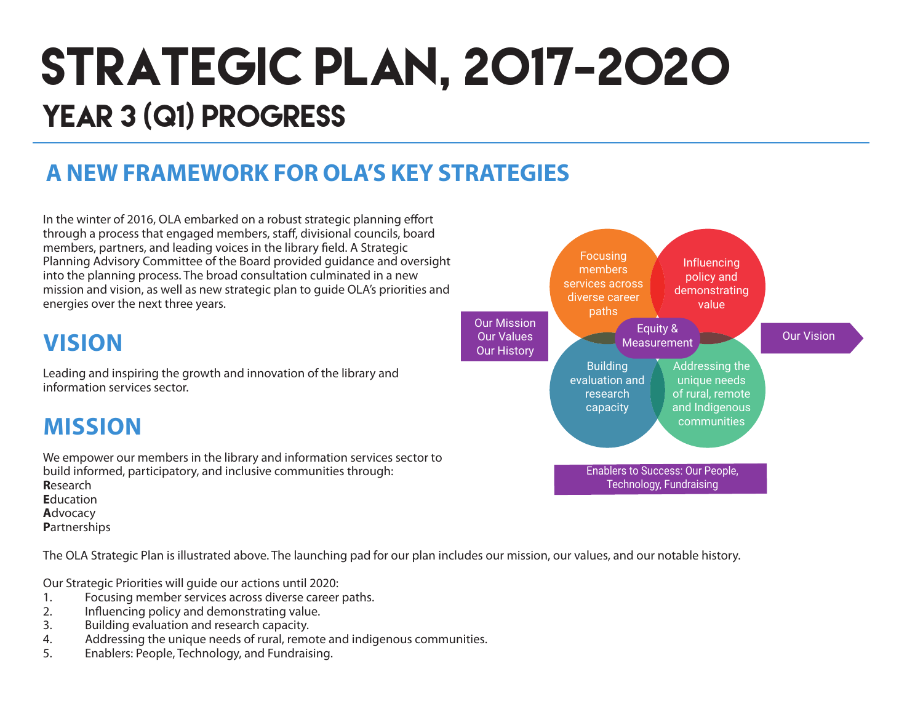# STRATEGIC PLAN, 2017-2020 YEAR 3 (Q1) PROGRESS

### **A NEW FRAMEWORK FOR OLA'S KEY STRATEGIES**

In the winter of 2016, OLA embarked on a robust strategic planning effort through a process that engaged members, staff, divisional councils, board members, partners, and leading voices in the library field. A Strategic Planning Advisory Committee of the Board provided guidance and oversight into the planning process. The broad consultation culminated in a new mission and vision, as well as new strategic plan to guide OLA's priorities and energies over the next three years.

### **VISION**

Leading and inspiring the growth and innovation of the library and information services sector.

### **MISSION**

We empower our members in the library and information services sector to build informed, participatory, and inclusive communities through: **R**esearch **E**ducation **A**dvocacy **P**artnerships

The OLA Strategic Plan is illustrated above. The launching pad for our plan includes our mission, our values, and our notable history.

Our Strategic Priorities will guide our actions until 2020:

- 1. Focusing member services across diverse career paths.
- 2. Influencing policy and demonstrating value.
- 3. Building evaluation and research capacity.
- 4. Addressing the unique needs of rural, remote and indigenous communities.
- 5. Enablers: People, Technology, and Fundraising.

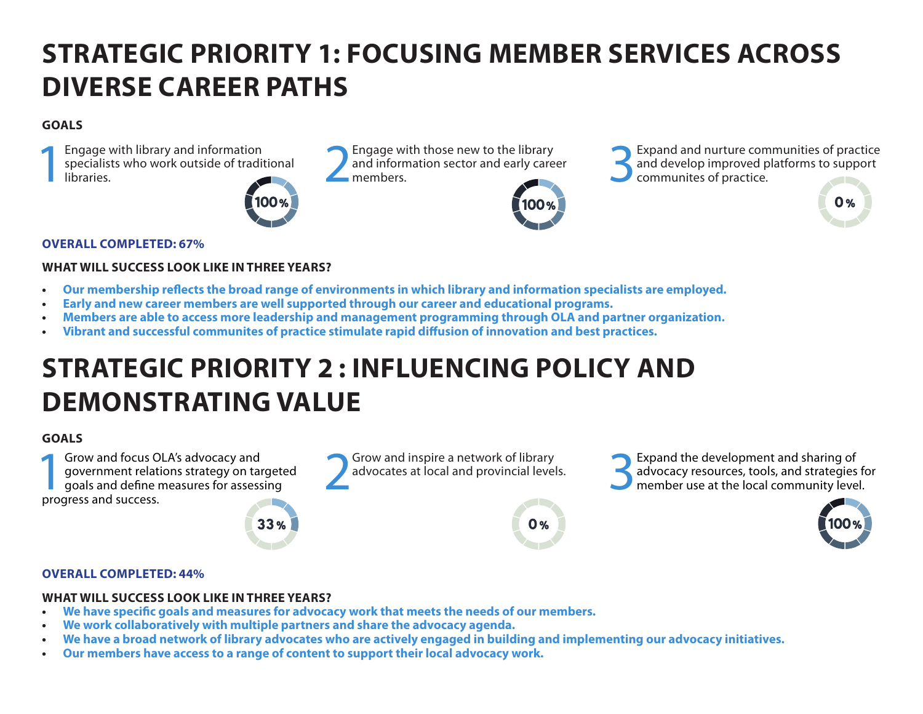## **STRATEGIC PRIORITY 1: FOCUSING MEMBER SERVICES ACROSS DIVERSE CAREER PATHS**

#### **GOALS**

Engage with library and information<br>specialists who work outside of tradit<br>libraries. specialists who work outside of traditional Engage with library and information<br>specialists who work outside of traditional libraries.<br>libraries.<br>members.



and information sector and early career<br>members



Engage with those new to the library<br>and information sector and early career<br>members.<br> $\bigcup_{\text{commuities of practice.}}$ <br>Repeated and develop improved platforms to support<br>communites of practice. and develop improved platforms to support communites of practice.

#### **OVERALL COMPLETED: 67%**

#### **WHAT WILL SUCCESS LOOK LIKE IN THREE YEARS?**

- **• Our membership reflects the broad range of environments in which library and information specialists are employed.**
- **• Early and new career members are well supported through our career and educational programs.**
- **• Members are able to access more leadership and management programming through OLA and partner organization.**
- **Vibrant and successful communites of practice stimulate rapid diffusion of innovation and best practices.**

### **STRATEGIC PRIORITY 2 : INFLUENCING POLICY AND DEMONSTRATING VALUE**

#### **GOALS**

**1Grow and focus OLA's advocacy and<br>
government relations strategy on target<br>
goals and define measures for assessing<br>
progress and success** government relations strategy on targeted progress and success.

# Grow and inspire a network of library<br>advocates at local and provincial levels.



Grow and inspire a network of library<br>advocates at local and provincial levels.<br>**3Expand the development and sharing of**<br>advocacy resources, tools, and strategies<br>member use at the local community leve advocacy resources, tools, and strategies for member use at the local community level.



 $\mathbf{0}$  %

#### **OVERALL COMPLETED: 44%**

#### **WHAT WILL SUCCESS LOOK LIKE IN THREE YEARS?**

- **• We have specific goals and measures for advocacy work that meets the needs of our members.**
- **• We work collaboratively with multiple partners and share the advocacy agenda.**
- We have a broad network of library advocates who are actively engaged in building and implementing our advocacy initiatives.
- **• Our members have access to a range of content to support their local advocacy work.**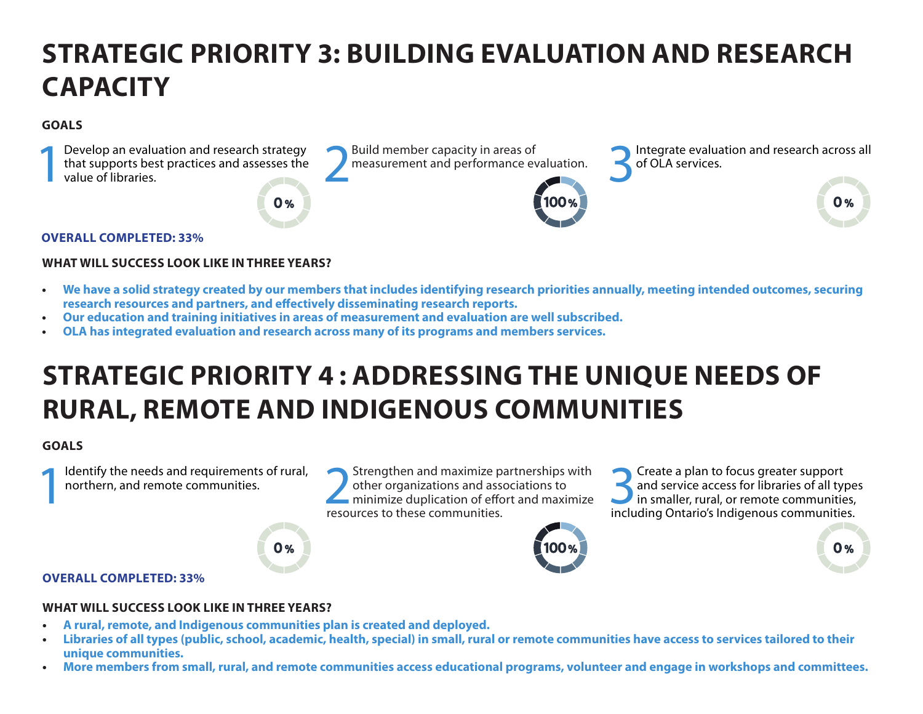## **STRATEGIC PRIORITY 3: BUILDING EVALUATION AND RESEARCH CAPACITY**

#### **GOALS**



#### **OVERALL COMPLETED: 33%**

#### **WHAT WILL SUCCESS LOOK LIKE IN THREE YEARS?**

- **• We have a solid strategy created by our members that includes identifying research priorities annually, meeting intended outcomes, securing research resources and partners, and effectively disseminating research reports.**
- **• Our education and training initiatives in areas of measurement and evaluation are well subscribed.**
- **OLA has integrated evaluation and research across many of its programs and members services.**

### **STRATEGIC PRIORITY 4 : ADDRESSING THE UNIQUE NEEDS OF RURAL, REMOTE AND INDIGENOUS COMMUNITIES**

#### **GOALS**

Identify the needs and requirements of rural, northern, and remote communities.

Identify the needs and requirements of rural,<br>
northern, and remote communities.<br> **EXECUTES TO DEALLY A PERIMEDIATE PARTLE PARTLE PARTLE PARTLE PARTLE PARTLE PARTLE PARTLE PARTLE PARTLE PARTLE PARTLE PARTLE PARTLE PARTLE P** other organizations and associations to minimize duplication of effort and maximize resources to these communities.

Solution of the set of and service access for libraries of all type in smaller, rural, or remote communities and service access for libraries of all types in smaller, rural, or remote communities, including Ontario's Indigenous communities.



#### **OVERALL COMPLETED: 33%**

#### **WHAT WILL SUCCESS LOOK LIKE IN THREE YEARS?**

**• A rural, remote, and Indigenous communities plan is created and deployed.**

 $0%$ 

- Libraries of all types (public, school, academic, health, special) in small, rural or remote communities have access to services tailored to their **unique communities.**
- **• More members from small, rural, and remote communities access educational programs, volunteer and engage in workshops and committees.**